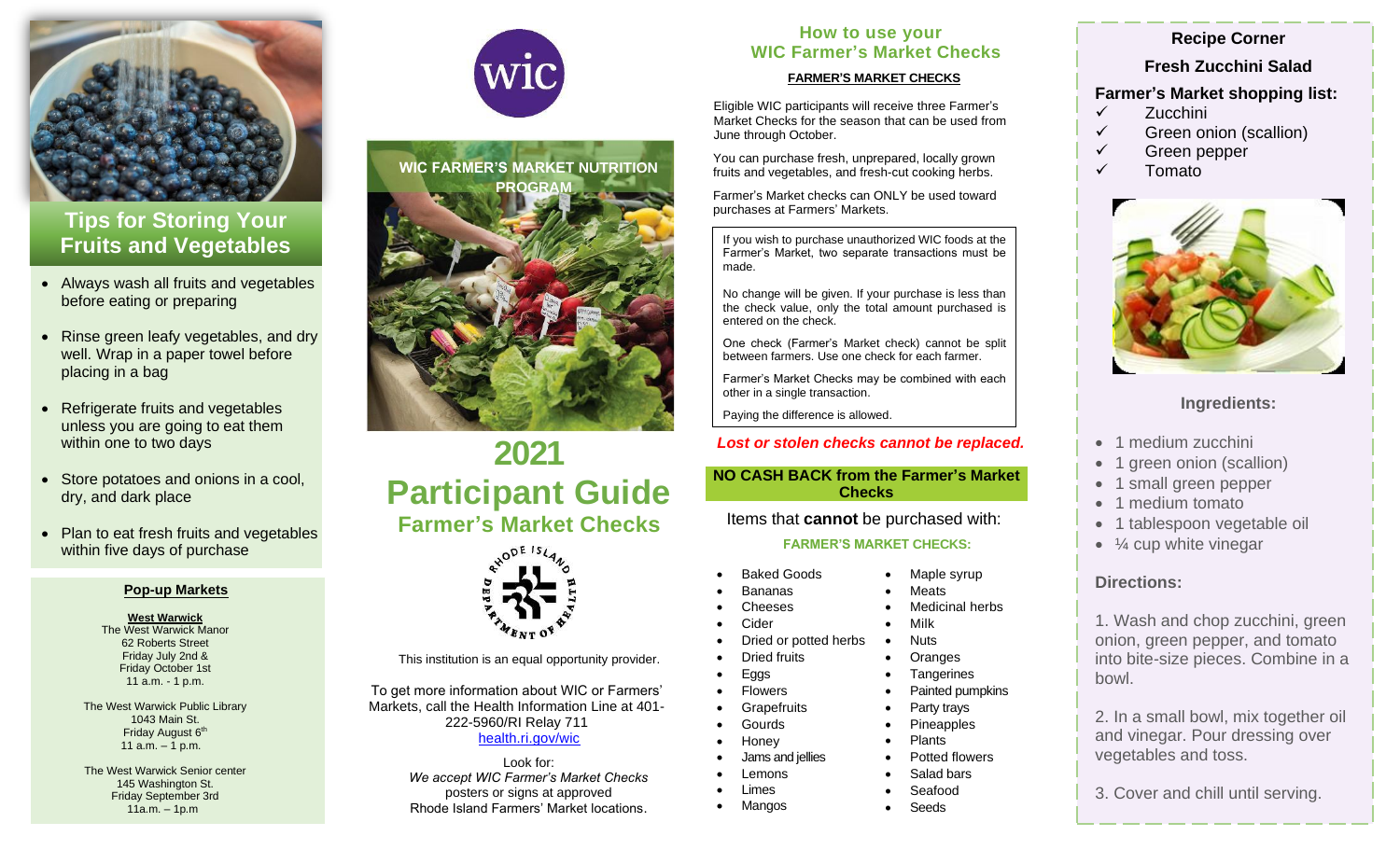

# **Tips for Storing Your Fruits and Vegetables**

- Always wash all fruits and vegetables before eating or preparing
- Rinse green leafy vegetables, and dry well. Wrap in a paper towel before placing in a bag
- Refrigerate fruits and vegetables unless you are going to eat them within one to two days
- Store potatoes and onions in a cool, dry, and dark place
- Plan to eat fresh fruits and vegetables within five days of purchase

## **Pop-up Markets**

## **West Warwick**

The West Warwick Manor 62 Roberts Street Friday July 2nd & Friday October 1st 11 a.m. - 1 p.m.

The West Warwick Public Library 1043 Main St. Friday August 6<sup>th</sup> 11 a.m. – 1 p.m.

The West Warwick Senior center 145 Washington St. Friday September 3rd 11a.m. – 1p.m





# **2021 Participant Guide Farmer's Market Checks**



This institution is an equal opportunity provider.

To get more information about WIC or Farmers' Markets, call the Health Information Line at 401- 222-5960/RI Relay 711 [health.ri.gov/wic](http://health.ri.gov/wic)

> Look for: *We accept WIC Farmer's Market Checks*  posters or signs at approved Rhode Island Farmers' Market locations.

# **How to use your WIC Farmer's Market Checks**

# **FARMER'S MARKET CHECKS**

Eligible WIC participants will receive three Farmer's Market Checks for the season that can be used from June through October.

You can purchase fresh, unprepared, locally grown fruits and vegetables, and fresh-cut cooking herbs.

Farmer's Market checks can ONLY be used toward purchases at Farmers' Markets.

If you wish to purchase unauthorized WIC foods at the Farmer's Market, two separate transactions must be made.

No change will be given. If your purchase is less than the check value, only the total amount purchased is entered on the check.

One check (Farmer's Market check) cannot be split between farmers. Use one check for each farmer.

Farmer's Market Checks may be combined with each other in a single transaction.

Paying the difference is allowed.

# *Lost or stolen checks cannot be replaced.*

# **NO CASH BACK from the Farmer's Market Checks**

Items that **cannot** be purchased with:

# **FARMER'S MARKET CHECKS:**

Maple syrup **Meats** 

• Milk **Nuts** • Oranges **Tangerines** Painted pumpkins

• Party trays • Pineapples • Plants

• Potted flowers • Salad bars • Seafood • Seeds

Medicinal herbs

- Baked Goods
- Bananas
- **Cheeses**
- **Cider**
- Dried or potted herbs
- Dried fruits
- Eggs
- 
- **Grapefruits** • Gourds
- Honey
- Jams and jellies
- **Lemons**
- Limes • Mangos
	-

# **Recipe Corner**

**Fresh Zucchini Salad**

# **Farmer's Market shopping list:**

- ✓ Zucchini
- ✓ Green onion (scallion)
- ✓ Green pepper
- ✓ Tomato



# **Ingredients:**

- 1 medium zucchini
- 1 green onion (scallion)
- 1 small green pepper
- 1 medium tomato
- 1 tablespoon vegetable oil
- $\bullet$   $\frac{1}{4}$  cup white vinegar

# **Directions:**

1. Wash and chop zucchini, green onion, green pepper, and tomato into bite-size pieces. Combine in a bowl.

2. In a small bowl, mix together oil and vinegar. Pour dressing over vegetables and toss.

3. Cover and chill until serving.

**Flowers**